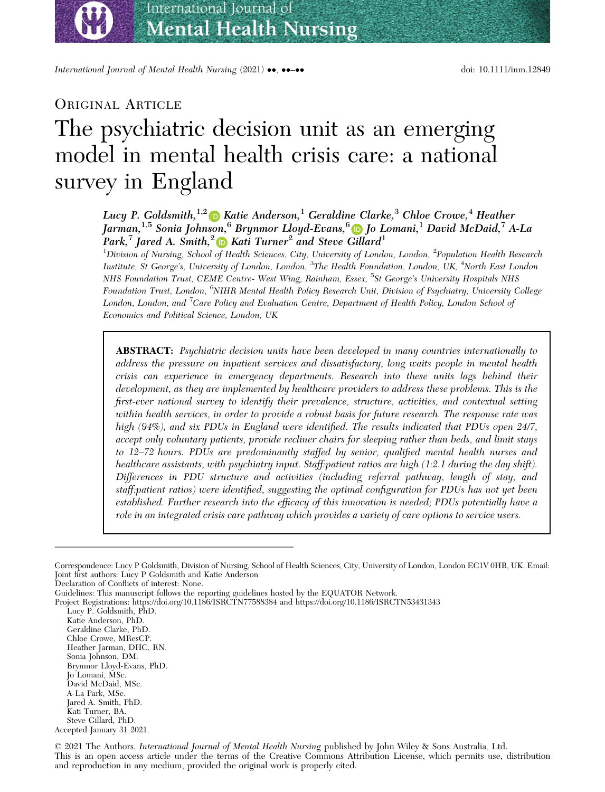bs\_bs\_banner

International Journal of Mental Health Nursing (2021) ••, ••-•• doi: 10.1111/inm.12849

# ORIGINAL ARTICLE

# The psychiatric decision unit as an emerging model in mental health crisis care: a national survey in England

# Lucy P. Goldsmith,  $^{1,2}$  D Katie Anderson, <sup>1</sup> Geraldine Clarke, <sup>3</sup> Chloe Crowe, <sup>4</sup> Heather Jarman,  $^{1,5}$  Sonia Joh[nso](https://orcid.org/0000-0002-6934-1925)n,  $^6$  $^6$  Brynmor Lloyd-Evans,  $^6$  **D** Io Lomani, <sup>1</sup> David McDaid, <sup>7</sup> A-La Park,<sup>7</sup> Jared A. Smith,<sup>[2](https://orcid.org/0000-0001-6138-136X)</sup> Kati Turner<sup>2</sup> and Steve [Gi](https://orcid.org/0000-0001-9866-788X)llard<sup>1</sup>

 $^1$ Division of Nursing, School of Health Sciences, City, University of London, London,  $^2$ Population Health Research Institute, St George's, University of London, London, <sup>3</sup>The Health Foundation, London, UK, <sup>4</sup>North East London NHS Foundation Trust, CEME Centre- West Wing, Rainham, Essex, <sup>5</sup>St George's University Hospitals NHS Foundation Trust, London, <sup>6</sup>NIHR Mental Health Policy Research Unit, Division of Psychiatry, University College London, London, and <sup>7</sup>Care Policy and Evaluation Centre, Department of Health Policy, London School of Economics and Political Science, London, UK

**ABSTRACT:** Psychiatric decision units have been developed in many countries internationally to address the pressure on inpatient services and dissatisfactory, long waits people in mental health crisis can experience in emergency departments. Research into these units lags behind their development, as they are implemented by healthcare providers to address these problems. This is the first-ever national survey to identify their prevalence, structure, activities, and contextual setting within health services, in order to provide a robust basis for future research. The response rate was high (94%), and six PDUs in England were identified. The results indicated that PDUs open 24/7, accept only voluntary patients, provide recliner chairs for sleeping rather than beds, and limit stays to 12–72 hours. PDUs are predominantly staffed by senior, qualified mental health nurses and healthcare assistants, with psychiatry input. Staff:patient ratios are high (1:2.1 during the day shift). Differences in PDU structure and activities (including referral pathway, length of stay, and staff:patient ratios) were identified, suggesting the optimal configuration for PDUs has not yet been established. Further research into the efficacy of this innovation is needed; PDUs potentially have a role in an integrated crisis care pathway which provides a variety of care options to service users.

Correspondence: Lucy P Goldsmith, Division of Nursing, School of Health Sciences, City, University of London, London EC1V 0HB, UK. Email: Joint first authors: Lucy P Goldsmith and Katie Anderson

Declaration of Conflicts of interest: None.

Guidelines: This manuscript follows the reporting guidelines hosted by the EQUATOR Network.

Project Registrations: https://doi.org/10.1186/ISRCTN77588384 and https://doi.org/10.1186/ISRCTN53431343

Lucy P. Goldsmith, PhD.

Katie Anderson, PhD. Geraldine Clarke, PhD.

Chloe Crowe, MResCP.

Heather Jarman, DHC, RN.

Sonia Johnson, DM.

Brynmor Lloyd-Evans, PhD.

Jo Lomani, MSc. David McDaid, MSc.

A-La Park, MSc.

Jared A. Smith, PhD.

Kati Turner, BA.

Steve Gillard, PhD.

Accepted January 31 2021.

<sup>©</sup> 2021 The Authors. International Journal of Mental Health Nursing published by John Wiley & Sons Australia, Ltd. This is an open access article under the terms of the [Creative Commons Attribution](http://creativecommons.org/licenses/by/4.0/) License, which permits use, distribution and reproduction in any medium, provided the original work is properly cited.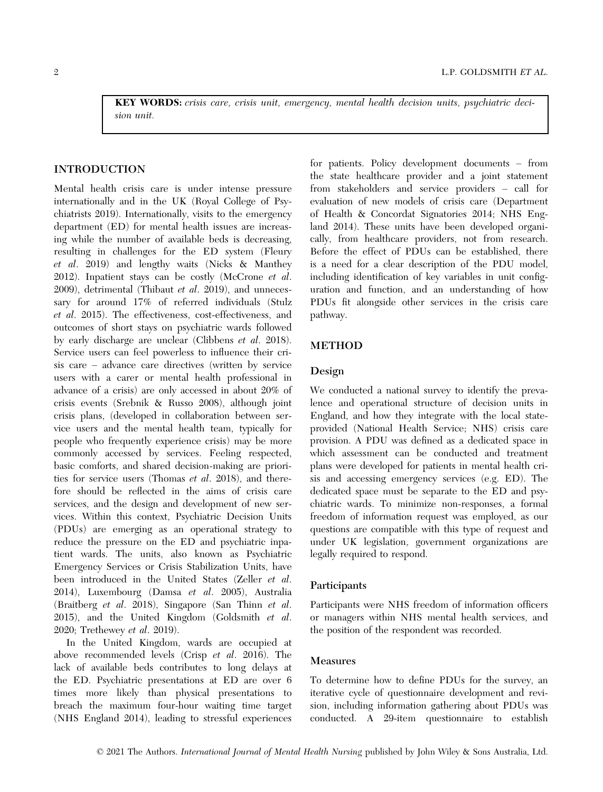KEY WORDS: crisis care, crisis unit, emergency, mental health decision units, psychiatric decision unit.

### INTRODUCTION

Mental health crisis care is under intense pressure internationally and in the UK (Royal College of Psychiatrists 2019). Internationally, visits to the emergency department (ED) for mental health issues are increasing while the number of available beds is decreasing, resulting in challenges for the ED system (Fleury et al. 2019) and lengthy waits (Nicks & Manthey 2012). Inpatient stays can be costly (McCrone et al. 2009), detrimental (Thibaut et  $al.$  2019), and unnecessary for around 17% of referred individuals (Stulz et al. 2015). The effectiveness, cost-effectiveness, and outcomes of short stays on psychiatric wards followed by early discharge are unclear (Clibbens et al. 2018). Service users can feel powerless to influence their crisis care – advance care directives (written by service users with a carer or mental health professional in advance of a crisis) are only accessed in about 20% of crisis events (Srebnik & Russo 2008), although joint crisis plans, (developed in collaboration between service users and the mental health team, typically for people who frequently experience crisis) may be more commonly accessed by services. Feeling respected, basic comforts, and shared decision-making are priorities for service users (Thomas et al. 2018), and therefore should be reflected in the aims of crisis care services, and the design and development of new services. Within this context, Psychiatric Decision Units (PDUs) are emerging as an operational strategy to reduce the pressure on the ED and psychiatric inpatient wards. The units, also known as Psychiatric Emergency Services or Crisis Stabilization Units, have been introduced in the United States (Zeller et al. 2014), Luxembourg (Damsa et al. 2005), Australia (Braitberg et al. 2018), Singapore (San Thinn et al. 2015), and the United Kingdom (Goldsmith et al. 2020; Trethewey et al. 2019).

In the United Kingdom, wards are occupied at above recommended levels (Crisp et al. 2016). The lack of available beds contributes to long delays at the ED. Psychiatric presentations at ED are over 6 times more likely than physical presentations to breach the maximum four-hour waiting time target (NHS England 2014), leading to stressful experiences

for patients. Policy development documents – from the state healthcare provider and a joint statement from stakeholders and service providers – call for evaluation of new models of crisis care (Department of Health & Concordat Signatories 2014; NHS England 2014). These units have been developed organically, from healthcare providers, not from research. Before the effect of PDUs can be established, there is a need for a clear description of the PDU model, including identification of key variables in unit configuration and function, and an understanding of how PDUs fit alongside other services in the crisis care pathway.

## METHOD

#### Design

We conducted a national survey to identify the prevalence and operational structure of decision units in England, and how they integrate with the local stateprovided (National Health Service; NHS) crisis care provision. A PDU was defined as a dedicated space in which assessment can be conducted and treatment plans were developed for patients in mental health crisis and accessing emergency services (e.g. ED). The dedicated space must be separate to the ED and psychiatric wards. To minimize non-responses, a formal freedom of information request was employed, as our questions are compatible with this type of request and under UK legislation, government organizations are legally required to respond.

#### Participants

Participants were NHS freedom of information officers or managers within NHS mental health services, and the position of the respondent was recorded.

# Measures

To determine how to define PDUs for the survey, an iterative cycle of questionnaire development and revision, including information gathering about PDUs was conducted. A 29-item questionnaire to establish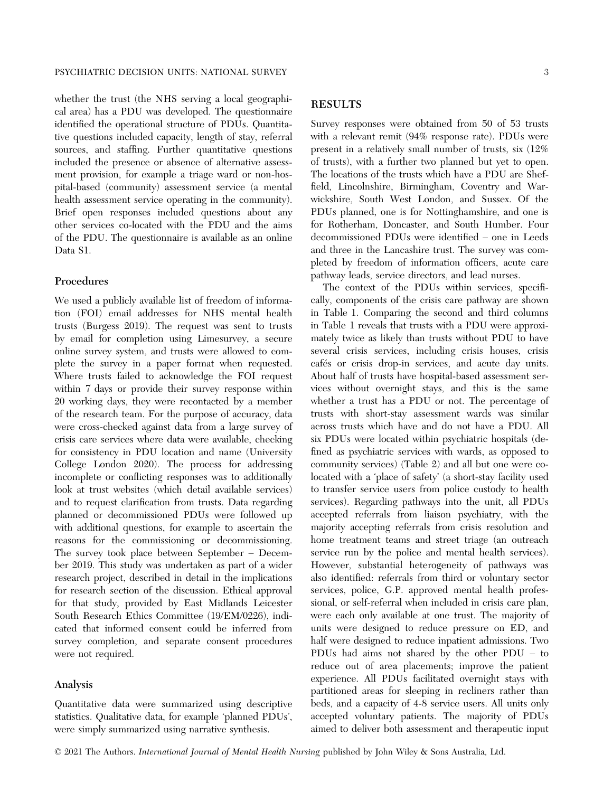whether the trust (the NHS serving a local geographical area) has a PDU was developed. The questionnaire identified the operational structure of PDUs. Quantitative questions included capacity, length of stay, referral sources, and staffing. Further quantitative questions included the presence or absence of alternative assessment provision, for example a triage ward or non-hospital-based (community) assessment service (a mental health assessment service operating in the community). Brief open responses included questions about any other services co-located with the PDU and the aims of the PDU. The questionnaire is available as an online Data S1.

#### Procedures

We used a publicly available list of freedom of information (FOI) email addresses for NHS mental health trusts (Burgess 2019). The request was sent to trusts by email for completion using Limesurvey, a secure online survey system, and trusts were allowed to complete the survey in a paper format when requested. Where trusts failed to acknowledge the FOI request within 7 days or provide their survey response within 20 working days, they were recontacted by a member of the research team. For the purpose of accuracy, data were cross-checked against data from a large survey of crisis care services where data were available, checking for consistency in PDU location and name (University College London 2020). The process for addressing incomplete or conflicting responses was to additionally look at trust websites (which detail available services) and to request clarification from trusts. Data regarding planned or decommissioned PDUs were followed up with additional questions, for example to ascertain the reasons for the commissioning or decommissioning. The survey took place between September – December 2019. This study was undertaken as part of a wider research project, described in detail in the implications for research section of the discussion. Ethical approval for that study, provided by East Midlands Leicester South Research Ethics Committee (19/EM/0226), indicated that informed consent could be inferred from survey completion, and separate consent procedures were not required.

#### Analysis

Quantitative data were summarized using descriptive statistics. Qualitative data, for example 'planned PDUs', were simply summarized using narrative synthesis.

# RESULTS

Survey responses were obtained from 50 of 53 trusts with a relevant remit (94% response rate). PDUs were present in a relatively small number of trusts, six (12% of trusts), with a further two planned but yet to open. The locations of the trusts which have a PDU are Sheffield, Lincolnshire, Birmingham, Coventry and Warwickshire, South West London, and Sussex. Of the PDUs planned, one is for Nottinghamshire, and one is for Rotherham, Doncaster, and South Humber. Four decommissioned PDUs were identified – one in Leeds and three in the Lancashire trust. The survey was completed by freedom of information officers, acute care pathway leads, service directors, and lead nurses.

The context of the PDUs within services, specifically, components of the crisis care pathway are shown in Table 1. Comparing the second and third columns in Table 1 reveals that trusts with a PDU were approximately twice as likely than trusts without PDU to have several crisis services, including crisis houses, crisis cafés or crisis drop-in services, and acute day units. About half of trusts have hospital-based assessment services without overnight stays, and this is the same whether a trust has a PDU or not. The percentage of trusts with short-stay assessment wards was similar across trusts which have and do not have a PDU. All six PDUs were located within psychiatric hospitals (defined as psychiatric services with wards, as opposed to community services) (Table 2) and all but one were colocated with a 'place of safety' (a short-stay facility used to transfer service users from police custody to health services). Regarding pathways into the unit, all PDUs accepted referrals from liaison psychiatry, with the majority accepting referrals from crisis resolution and home treatment teams and street triage (an outreach service run by the police and mental health services). However, substantial heterogeneity of pathways was also identified: referrals from third or voluntary sector services, police, G.P. approved mental health professional, or self-referral when included in crisis care plan, were each only available at one trust. The majority of units were designed to reduce pressure on ED, and half were designed to reduce inpatient admissions. Two PDUs had aims not shared by the other PDU – to reduce out of area placements; improve the patient experience. All PDUs facilitated overnight stays with partitioned areas for sleeping in recliners rather than beds, and a capacity of 4-8 service users. All units only accepted voluntary patients. The majority of PDUs aimed to deliver both assessment and therapeutic input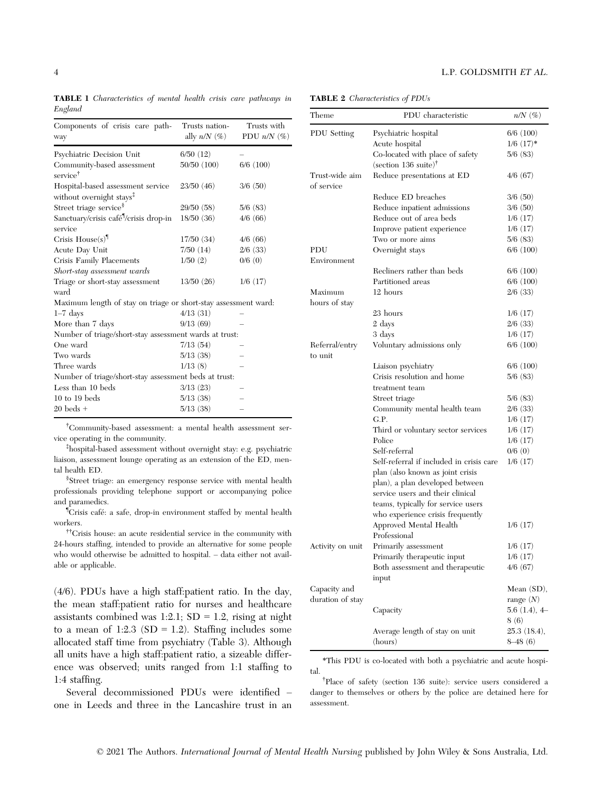TABLE 1 Characteristics of mental health crisis care pathways in England

| Components of crisis care path-<br>way                                    | Trusts nation-<br>ally $n/N$ $(\%)$ | Trusts with<br>PDU $n/N$ (%) |
|---------------------------------------------------------------------------|-------------------------------------|------------------------------|
| Psychiatric Decision Unit                                                 | 6/50(12)                            |                              |
| Community-based assessment<br>service <sup>†</sup>                        | 50/50 (100)                         | $6/6$ (100)                  |
| Hospital-based assessment service<br>without overnight stays <sup>1</sup> | 23/50(46)                           | 3/6(50)                      |
| Street triage service <sup>§</sup>                                        | 29/50 (58)                          | 5/6(83)                      |
| Sanctuary/crisis café <sup>1</sup> /crisis drop-in<br>service             | 18/50(36)                           | 4/6(66)                      |
| Crisis $House(s)^{\mathbb{I}}$                                            | 17/50(34)                           | 4/6(66)                      |
| Acute Day Unit                                                            | 7/50 (14)                           | $2/6$ (33)                   |
| Crisis Family Placements                                                  | 1/50(2)                             | 0/6(0)                       |
| Short-stay assessment wards                                               |                                     |                              |
| Triage or short-stay assessment<br>ward                                   | 13/50(26)                           | 1/6(17)                      |
| Maximum length of stay on triage or short-stay assessment ward:           |                                     |                              |
| $1-7$ days                                                                | 4/13(31)                            |                              |
| More than 7 days                                                          | 9/13(69)                            |                              |
| Number of triage/short-stay assessment wards at trust:                    |                                     |                              |
| One ward                                                                  | 7/13(54)                            |                              |
| Two wards                                                                 | 5/13(38)                            |                              |
| Three wards                                                               | 1/13(8)                             |                              |
| Number of triage/short-stay assessment beds at trust:                     |                                     |                              |
| Less than 10 beds                                                         | 3/13(23)                            |                              |
| $10$ to $19$ beds                                                         | 5/13(38)                            |                              |
| $20$ beds $+$                                                             | 5/13(38)                            |                              |

† Community-based assessment: a mental health assessment service operating in the community.

‡ hospital-based assessment without overnight stay: e.g. psychiatric liaison, assessment lounge operating as an extension of the ED, mental health ED.

§ Street triage: an emergency response service with mental health professionals providing telephone support or accompanying police and paramedics.

¶ Crisis cafe: a safe, drop-in environment staffed by mental health workers.

††Crisis house: an acute residential service in the community with 24-hours staffing, intended to provide an alternative for some people who would otherwise be admitted to hospital. – data either not available or applicable.

(4/6). PDUs have a high staff:patient ratio. In the day, the mean staff:patient ratio for nurses and healthcare assistants combined was  $1:2.1$ ; SD = 1.2, rising at night to a mean of 1:2.3 ( $SD = 1.2$ ). Staffing includes some allocated staff time from psychiatry (Table 3). Although all units have a high staff:patient ratio, a sizeable difference was observed; units ranged from 1:1 staffing to 1:4 staffing.

Several decommissioned PDUs were identified – one in Leeds and three in the Lancashire trust in an

TABLE 2 Characteristics of PDUs

| Theme                        | PDU characteristic                                               | $n/N$ $(\%)$   |
|------------------------------|------------------------------------------------------------------|----------------|
| PDU Setting                  | Psychiatric hospital                                             | $6/6$ $(100)$  |
|                              | Acute hospital                                                   | $1/6$ $(17)*$  |
|                              | Co-located with place of safety<br>(section 136 suite) $\dagger$ | 5/6(83)        |
| Trust-wide aim<br>of service | Reduce presentations at ED                                       | 4/6(67)        |
|                              | Reduce ED breaches                                               | 3/6(50)        |
|                              | Reduce inpatient admissions                                      | 3/6(50)        |
|                              | Reduce out of area beds                                          | 1/6(17)        |
|                              | Improve patient experience                                       | 1/6(17)        |
|                              | Two or more aims                                                 | 5/6(83)        |
| PDU                          | Overnight stays                                                  | 6/6(100)       |
| Environment                  |                                                                  |                |
|                              | Recliners rather than beds                                       | $6/6$ (100)    |
|                              | Partitioned areas                                                | 6/6(100)       |
| Maximum<br>hours of stay     | 12 hours                                                         | 2/6(33)        |
|                              | 23 hours                                                         | 1/6(17)        |
|                              | 2 days                                                           | $2/6$ (33)     |
|                              | 3 days                                                           | 1/6(17)        |
| Referral/entry<br>to unit    | Voluntary admissions only                                        | 6/6(100)       |
|                              | Liaison psychiatry                                               | 6/6 (100)      |
|                              | Crisis resolution and home                                       | 5/6(83)        |
|                              | treatment team                                                   |                |
|                              | Street triage                                                    | 5/6(83)        |
|                              | Community mental health team                                     | $2/6$ (33)     |
|                              | G.P.                                                             | 1/6(17)        |
|                              | Third or voluntary sector services                               | 1/6(17)        |
|                              | Police                                                           | 1/6(17)        |
|                              | Self-referral                                                    | 0/6(0)         |
|                              | Self-referral if included in crisis care                         | 1/6(17)        |
|                              | plan (also known as joint crisis                                 |                |
|                              | plan), a plan developed between                                  |                |
|                              | service users and their clinical                                 |                |
|                              | teams, typically for service users                               |                |
|                              | who experience crisis frequently<br>Approved Mental Health       | 1/6(17)        |
|                              | Professional                                                     |                |
| Activity on unit             | Primarily assessment                                             | 1/6(17)        |
|                              | Primarily therapeutic input                                      | 1/6(17)        |
|                              | Both assessment and therapeutic<br>input                         | 4/6(67)        |
| Capacity and                 |                                                                  | Mean $(SD)$ ,  |
| duration of stay             |                                                                  | range $(N)$    |
|                              | Capacity                                                         | $5.6(1.4), 4-$ |
|                              |                                                                  | 8(6)           |
|                              | Average length of stay on unit                                   | 25.3(18.4),    |
|                              | (hours)                                                          | $8-48(6)$      |

\*This PDU is co-located with both a psychiatric and acute hospital.

† Place of safety (section 136 suite): service users considered a danger to themselves or others by the police are detained here for assessment.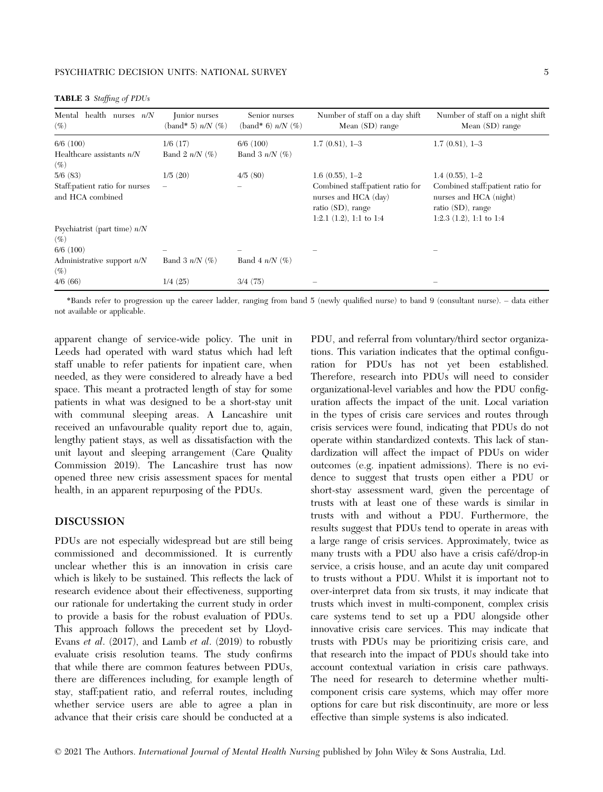| Mental health nurses $n/N$<br>$(\%)$                | Junior nurses<br>$\Delta$ (band* 5) $n/N$ $(\%)$ | Senior nurses<br>$\Delta$ (band* 6) $n/N$ (%) | Number of staff on a day shift<br>Mean $(SD)$ range                                                             | Number of staff on a night shift<br>Mean $(SD)$ range                                                             |
|-----------------------------------------------------|--------------------------------------------------|-----------------------------------------------|-----------------------------------------------------------------------------------------------------------------|-------------------------------------------------------------------------------------------------------------------|
| $6/6$ $(100)$                                       | 1/6(17)                                          | 6/6(100)                                      | $1.7(0.81), 1-3$                                                                                                | $1.7(0.81), 1-3$                                                                                                  |
| Healthcare assistants $n/N$<br>$(\%)$               | Band 2 $n/N$ (%)                                 | Band 3 $n/N$ (%)                              |                                                                                                                 |                                                                                                                   |
| 5/6(83)                                             | 1/5(20)                                          | 4/5(80)                                       | $1.6(0.55), 1-2$                                                                                                | $1.4(0.55), 1-2$                                                                                                  |
| Staff: patient ratio for nurses<br>and HCA combined |                                                  |                                               | Combined staff: patient ratio for<br>nurses and HCA (day)<br>ratio $(SD)$ , range<br>1:2.1 $(1.2)$ , 1:1 to 1:4 | Combined staff: patient ratio for<br>nurses and HCA (night)<br>ratio $(SD)$ , range<br>1:2.3 $(1.2)$ , 1:1 to 1:4 |
| Psychiatrist (part time) $n/N$<br>$(\%)$            |                                                  |                                               |                                                                                                                 |                                                                                                                   |
| $6/6$ $(100)$                                       |                                                  |                                               |                                                                                                                 |                                                                                                                   |
| Administrative support $n/N$<br>$(\%)$              | Band 3 $n/N$ (%)                                 | Band 4 $n/N$ (%)                              |                                                                                                                 |                                                                                                                   |
| 4/6 (66)                                            | 1/4(25)                                          | 3/4(75)                                       |                                                                                                                 |                                                                                                                   |

TABLE 3 Staffing of PDUs

\*Bands refer to progression up the career ladder, ranging from band 5 (newly qualified nurse) to band 9 (consultant nurse). – data either not available or applicable.

apparent change of service-wide policy. The unit in Leeds had operated with ward status which had left staff unable to refer patients for inpatient care, when needed, as they were considered to already have a bed space. This meant a protracted length of stay for some patients in what was designed to be a short-stay unit with communal sleeping areas. A Lancashire unit received an unfavourable quality report due to, again, lengthy patient stays, as well as dissatisfaction with the unit layout and sleeping arrangement (Care Quality Commission 2019). The Lancashire trust has now opened three new crisis assessment spaces for mental health, in an apparent repurposing of the PDUs.

#### DISCUSSION

PDUs are not especially widespread but are still being commissioned and decommissioned. It is currently unclear whether this is an innovation in crisis care which is likely to be sustained. This reflects the lack of research evidence about their effectiveness, supporting our rationale for undertaking the current study in order to provide a basis for the robust evaluation of PDUs. This approach follows the precedent set by Lloyd-Evans et al. (2017), and Lamb et al. (2019) to robustly evaluate crisis resolution teams. The study confirms that while there are common features between PDUs, there are differences including, for example length of stay, staff:patient ratio, and referral routes, including whether service users are able to agree a plan in advance that their crisis care should be conducted at a PDU, and referral from voluntary/third sector organizations. This variation indicates that the optimal configuration for PDUs has not yet been established. Therefore, research into PDUs will need to consider organizational-level variables and how the PDU configuration affects the impact of the unit. Local variation in the types of crisis care services and routes through crisis services were found, indicating that PDUs do not operate within standardized contexts. This lack of standardization will affect the impact of PDUs on wider outcomes (e.g. inpatient admissions). There is no evidence to suggest that trusts open either a PDU or short-stay assessment ward, given the percentage of trusts with at least one of these wards is similar in trusts with and without a PDU. Furthermore, the results suggest that PDUs tend to operate in areas with a large range of crisis services. Approximately, twice as many trusts with a PDU also have a crisis cafe/drop-in service, a crisis house, and an acute day unit compared to trusts without a PDU. Whilst it is important not to over-interpret data from six trusts, it may indicate that trusts which invest in multi-component, complex crisis care systems tend to set up a PDU alongside other innovative crisis care services. This may indicate that trusts with PDUs may be prioritizing crisis care, and that research into the impact of PDUs should take into account contextual variation in crisis care pathways. The need for research to determine whether multicomponent crisis care systems, which may offer more options for care but risk discontinuity, are more or less effective than simple systems is also indicated.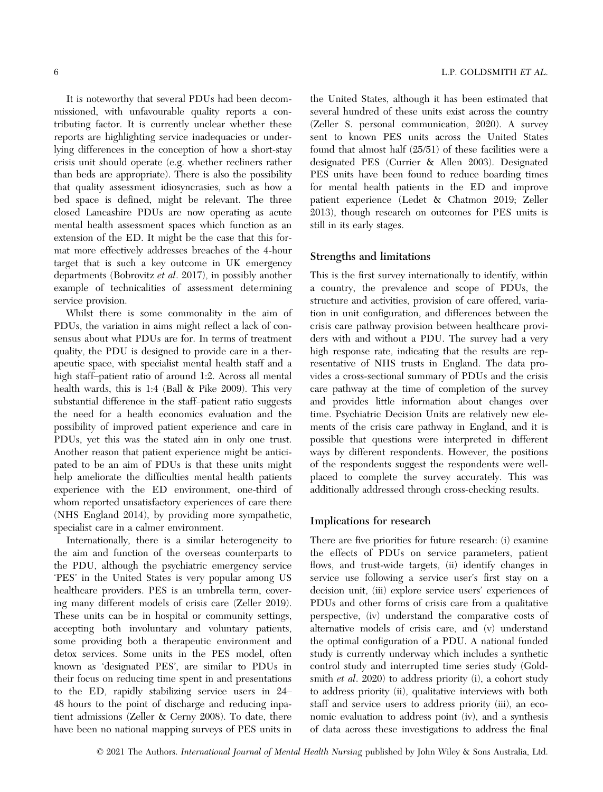It is noteworthy that several PDUs had been decommissioned, with unfavourable quality reports a contributing factor. It is currently unclear whether these reports are highlighting service inadequacies or underlying differences in the conception of how a short-stay crisis unit should operate (e.g. whether recliners rather than beds are appropriate). There is also the possibility that quality assessment idiosyncrasies, such as how a bed space is defined, might be relevant. The three closed Lancashire PDUs are now operating as acute mental health assessment spaces which function as an extension of the ED. It might be the case that this format more effectively addresses breaches of the 4-hour target that is such a key outcome in UK emergency departments (Bobrovitz et al. 2017), in possibly another example of technicalities of assessment determining service provision.

Whilst there is some commonality in the aim of PDUs, the variation in aims might reflect a lack of consensus about what PDUs are for. In terms of treatment quality, the PDU is designed to provide care in a therapeutic space, with specialist mental health staff and a high staff–patient ratio of around 1:2. Across all mental health wards, this is 1:4 (Ball & Pike 2009). This very substantial difference in the staff–patient ratio suggests the need for a health economics evaluation and the possibility of improved patient experience and care in PDUs, yet this was the stated aim in only one trust. Another reason that patient experience might be anticipated to be an aim of PDUs is that these units might help ameliorate the difficulties mental health patients experience with the ED environment, one-third of whom reported unsatisfactory experiences of care there (NHS England 2014), by providing more sympathetic, specialist care in a calmer environment.

Internationally, there is a similar heterogeneity to the aim and function of the overseas counterparts to the PDU, although the psychiatric emergency service 'PES' in the United States is very popular among US healthcare providers. PES is an umbrella term, covering many different models of crisis care (Zeller 2019). These units can be in hospital or community settings, accepting both involuntary and voluntary patients, some providing both a therapeutic environment and detox services. Some units in the PES model, often known as 'designated PES', are similar to PDUs in their focus on reducing time spent in and presentations to the ED, rapidly stabilizing service users in 24– 48 hours to the point of discharge and reducing inpatient admissions (Zeller & Cerny 2008). To date, there have been no national mapping surveys of PES units in

the United States, although it has been estimated that several hundred of these units exist across the country (Zeller S. personal communication, 2020). A survey sent to known PES units across the United States found that almost half (25/51) of these facilities were a designated PES (Currier & Allen 2003). Designated PES units have been found to reduce boarding times for mental health patients in the ED and improve patient experience (Ledet & Chatmon 2019; Zeller 2013), though research on outcomes for PES units is still in its early stages.

#### Strengths and limitations

This is the first survey internationally to identify, within a country, the prevalence and scope of PDUs, the structure and activities, provision of care offered, variation in unit configuration, and differences between the crisis care pathway provision between healthcare providers with and without a PDU. The survey had a very high response rate, indicating that the results are representative of NHS trusts in England. The data provides a cross-sectional summary of PDUs and the crisis care pathway at the time of completion of the survey and provides little information about changes over time. Psychiatric Decision Units are relatively new elements of the crisis care pathway in England, and it is possible that questions were interpreted in different ways by different respondents. However, the positions of the respondents suggest the respondents were wellplaced to complete the survey accurately. This was additionally addressed through cross-checking results.

## Implications for research

There are five priorities for future research: (i) examine the effects of PDUs on service parameters, patient flows, and trust-wide targets, (ii) identify changes in service use following a service user's first stay on a decision unit, (iii) explore service users' experiences of PDUs and other forms of crisis care from a qualitative perspective, (iv) understand the comparative costs of alternative models of crisis care, and (v) understand the optimal configuration of a PDU. A national funded study is currently underway which includes a synthetic control study and interrupted time series study (Goldsmith *et al.* 2020) to address priority (i), a cohort study to address priority (ii), qualitative interviews with both staff and service users to address priority (iii), an economic evaluation to address point (iv), and a synthesis of data across these investigations to address the final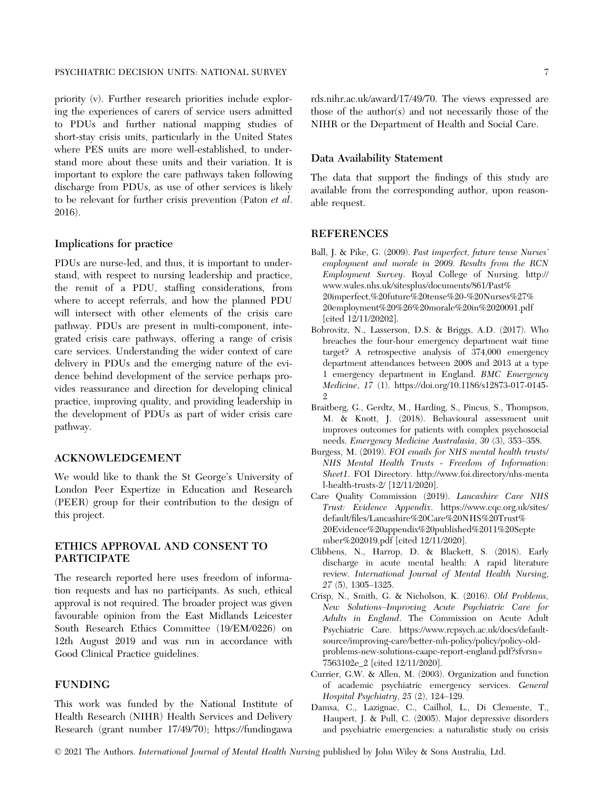priority (v). Further research priorities include exploring the experiences of carers of service users admitted to PDUs and further national mapping studies of short-stay crisis units, particularly in the United States where PES units are more well-established, to understand more about these units and their variation. It is important to explore the care pathways taken following discharge from PDUs, as use of other services is likely to be relevant for further crisis prevention (Paton et al. 2016).

#### Implications for practice

PDUs are nurse-led, and thus, it is important to understand, with respect to nursing leadership and practice, the remit of a PDU, staffing considerations, from where to accept referrals, and how the planned PDU will intersect with other elements of the crisis care pathway. PDUs are present in multi-component, integrated crisis care pathways, offering a range of crisis care services. Understanding the wider context of care delivery in PDUs and the emerging nature of the evidence behind development of the service perhaps provides reassurance and direction for developing clinical practice, improving quality, and providing leadership in the development of PDUs as part of wider crisis care pathway.

# ACKNOWLEDGEMENT

We would like to thank the St George's University of London Peer Expertize in Education and Research (PEER) group for their contribution to the design of this project.

#### ETHICS APPROVAL AND CONSENT TO PARTICIPATE

The research reported here uses freedom of information requests and has no participants. As such, ethical approval is not required. The broader project was given favourable opinion from the East Midlands Leicester South Research Ethics Committee (19/EM/0226) on 12th August 2019 and was run in accordance with Good Clinical Practice guidelines.

# FUNDING

This work was funded by the National Institute of Health Research (NIHR) Health Services and Delivery Research (grant number 17/49/70); [https://fundingawa](https://fundingawards.nihr.ac.uk/award/17/49/70)

#### Data Availability Statement

The data that support the findings of this study are available from the corresponding author, upon reasonable request.

#### **REFERENCES**

- Ball, J. & Pike, G. (2009). Past imperfect, future tense Nurses' employment and morale in 2009. Results from the RCN Employment Survey. Royal College of Nursing. http:// www.wales.nhs.uk/sitesplus/documents/861/Past% 20imperfect,%20future%20tense%20-%20Nurses%27% 20employment%20%26%20morale%20in%2020091.pdf [cited 12/11/20202].
- Bobrovitz, N., Lasserson, D.S. & Briggs, A.D. (2017). Who breaches the four-hour emergency department wait time target? A retrospective analysis of 374,000 emergency department attendances between 2008 and 2013 at a type 1 emergency department in England. BMC Emergency Medicine, 17 (1). [https://doi.org/10.1186/s12873-017-0145-](https://doi.org/10.1186/s12873-017-0145-2)  $\mathcal{Q}$
- Braitberg, G., Gerdtz, M., Harding, S., Pincus, S., Thompson, M. & Knott, J. (2018). Behavioural assessment unit improves outcomes for patients with complex psychosocial needs. Emergency Medicine Australasia, 30 (3), 353–358.
- Burgess, M. (2019). FOI emails for NHS mental health trusts/ NHS Mental Health Trusts - Freedom of Information: Sheet1. FOI Directory. [http://www.foi.directory/nhs-menta](http://www.foi.directory/nhs-mental-health-trusts-2/) [l-health-trusts-2/](http://www.foi.directory/nhs-mental-health-trusts-2/) [12/11/2020].
- Care Quality Commission (2019). Lancashire Care NHS Trust: Evidence Appendix. [https://www.cqc.org.uk/sites/](https://www.cqc.org.uk/sites/default/files/Lancashire%2520Care%2520NHS%2520Trust%2520Evidence%2520appendix%2520published%252011%2520September%25202019.pdf) [default/files/Lancashire%20Care%20NHS%20Trust%](https://www.cqc.org.uk/sites/default/files/Lancashire%2520Care%2520NHS%2520Trust%2520Evidence%2520appendix%2520published%252011%2520September%25202019.pdf) [20Evidence%20appendix%20published%2011%20Septe](https://www.cqc.org.uk/sites/default/files/Lancashire%2520Care%2520NHS%2520Trust%2520Evidence%2520appendix%2520published%252011%2520September%25202019.pdf) [mber%202019.pdf](https://www.cqc.org.uk/sites/default/files/Lancashire%2520Care%2520NHS%2520Trust%2520Evidence%2520appendix%2520published%252011%2520September%25202019.pdf) [cited 12/11/2020].
- Clibbens, N., Harrop, D. & Blackett, S. (2018). Early discharge in acute mental health: A rapid literature review. International Journal of Mental Health Nursing, 27 (5), 1305–1325.
- Crisp, N., Smith, G. & Nicholson, K. (2016). Old Problems, New Solutions–Improving Acute Psychiatric Care for Adults in England. The Commission on Acute Adult Psychiatric Care. [https://www.rcpsych.ac.uk/docs/default](https://www.rcpsych.ac.uk/docs/default-source/improving-care/better-mh-policy/policy/policy-old-problems-new-solutions-caapc-report-england.pdf?sfvrsn=7563102e_2)[source/improving-care/better-mh-policy/policy/policy-old](https://www.rcpsych.ac.uk/docs/default-source/improving-care/better-mh-policy/policy/policy-old-problems-new-solutions-caapc-report-england.pdf?sfvrsn=7563102e_2)[problems-new-solutions-caapc-report-england.pdf?sfvrsn=](https://www.rcpsych.ac.uk/docs/default-source/improving-care/better-mh-policy/policy/policy-old-problems-new-solutions-caapc-report-england.pdf?sfvrsn=7563102e_2) [7563102e\\_2](https://www.rcpsych.ac.uk/docs/default-source/improving-care/better-mh-policy/policy/policy-old-problems-new-solutions-caapc-report-england.pdf?sfvrsn=7563102e_2) [cited 12/11/2020].
- Currier, G.W. & Allen, M. (2003). Organization and function of academic psychiatric emergency services. General Hospital Psychiatry, 25 (2), 124–129.
- Damsa, C., Lazignac, C., Cailhol, L., Di Clemente, T., Haupert, J. & Pull, C. (2005). Major depressive disorders and psychiatric emergencies: a naturalistic study on crisis

© 2021 The Authors. International Journal of Mental Health Nursing published by John Wiley & Sons Australia, Ltd.